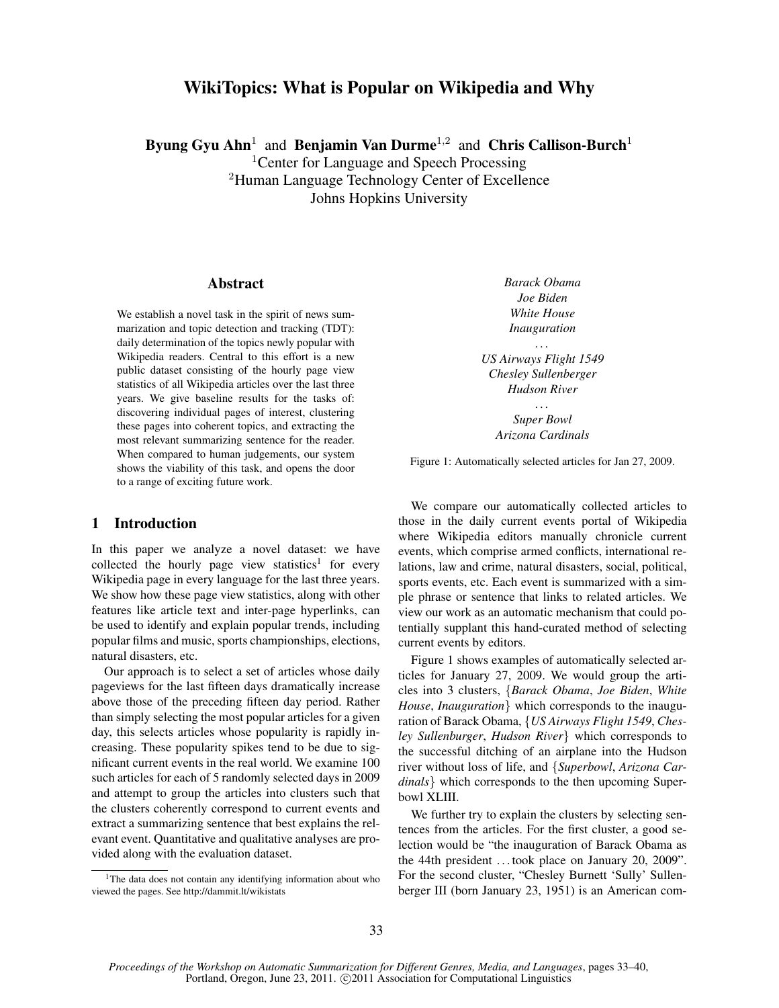# WikiTopics: What is Popular on Wikipedia and Why

Byung Gyu Ahn<sup>1</sup> and Benjamin Van Durme<sup>1,2</sup> and Chris Callison-Burch<sup>1</sup>

<sup>1</sup>Center for Language and Speech Processing

<sup>2</sup>Human Language Technology Center of Excellence

Johns Hopkins University

## Abstract

We establish a novel task in the spirit of news summarization and topic detection and tracking (TDT): daily determination of the topics newly popular with Wikipedia readers. Central to this effort is a new public dataset consisting of the hourly page view statistics of all Wikipedia articles over the last three years. We give baseline results for the tasks of: discovering individual pages of interest, clustering these pages into coherent topics, and extracting the most relevant summarizing sentence for the reader. When compared to human judgements, our system shows the viability of this task, and opens the door to a range of exciting future work.

# 1 Introduction

In this paper we analyze a novel dataset: we have collected the hourly page view statistics<sup>1</sup> for every Wikipedia page in every language for the last three years. We show how these page view statistics, along with other features like article text and inter-page hyperlinks, can be used to identify and explain popular trends, including popular films and music, sports championships, elections, natural disasters, etc.

Our approach is to select a set of articles whose daily pageviews for the last fifteen days dramatically increase above those of the preceding fifteen day period. Rather than simply selecting the most popular articles for a given day, this selects articles whose popularity is rapidly increasing. These popularity spikes tend to be due to significant current events in the real world. We examine 100 such articles for each of 5 randomly selected days in 2009 and attempt to group the articles into clusters such that the clusters coherently correspond to current events and extract a summarizing sentence that best explains the relevant event. Quantitative and qualitative analyses are provided along with the evaluation dataset.

*Barack Obama Joe Biden White House Inauguration*

*US Airways Flight 1549 Chesley Sullenberger Hudson River*

. . .

. . . *Super Bowl Arizona Cardinals*

Figure 1: Automatically selected articles for Jan 27, 2009.

We compare our automatically collected articles to those in the daily current events portal of Wikipedia where Wikipedia editors manually chronicle current events, which comprise armed conflicts, international relations, law and crime, natural disasters, social, political, sports events, etc. Each event is summarized with a simple phrase or sentence that links to related articles. We view our work as an automatic mechanism that could potentially supplant this hand-curated method of selecting current events by editors.

Figure 1 shows examples of automatically selected articles for January 27, 2009. We would group the articles into 3 clusters, {*Barack Obama*, *Joe Biden*, *White House*, *Inauguration*} which corresponds to the inauguration of Barack Obama, {*US Airways Flight 1549*, *Chesley Sullenburger*, *Hudson River*} which corresponds to the successful ditching of an airplane into the Hudson river without loss of life, and {*Superbowl*, *Arizona Cardinals*} which corresponds to the then upcoming Superbowl XLIII.

We further try to explain the clusters by selecting sentences from the articles. For the first cluster, a good selection would be "the inauguration of Barack Obama as the 44th president . . . took place on January 20, 2009". For the second cluster, "Chesley Burnett 'Sully' Sullenberger III (born January 23, 1951) is an American com-

<sup>&</sup>lt;sup>1</sup>The data does not contain any identifying information about who viewed the pages. See http://dammit.lt/wikistats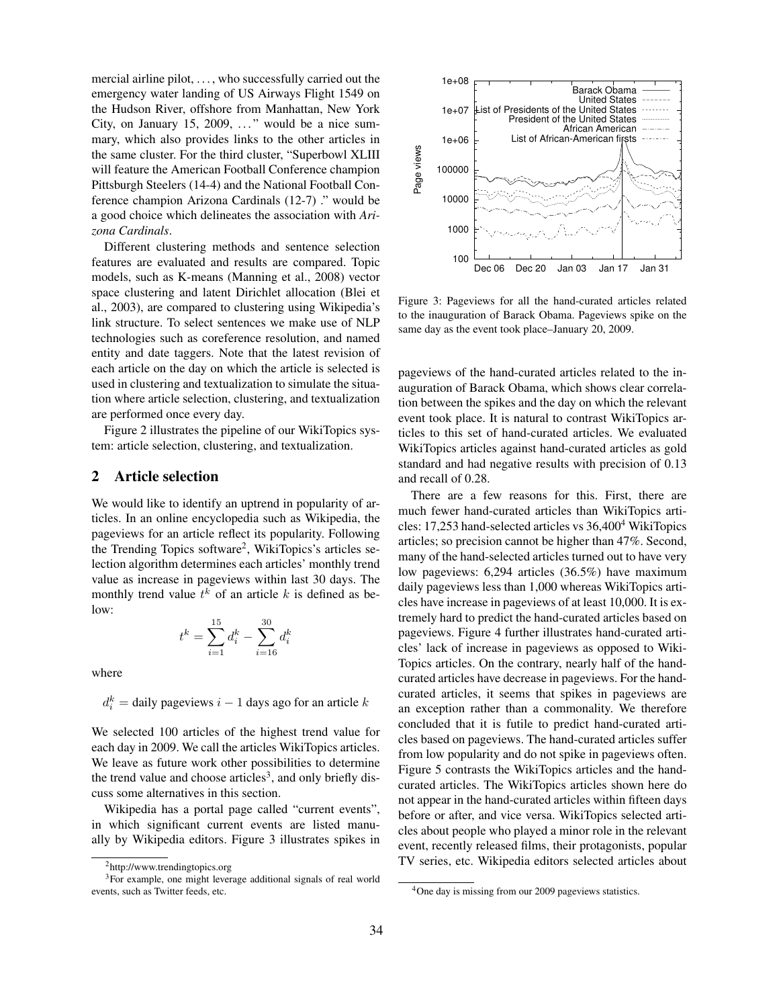mercial airline pilot, ..., who successfully carried out the emergency water landing of US Airways Flight 1549 on the Hudson River, offshore from Manhattan, New York City, on January 15, 2009,  $\dots$ " would be a nice summary, which also provides links to the other articles in the same cluster. For the third cluster, "Superbowl XLIII will feature the American Football Conference champion Pittsburgh Steelers (14-4) and the National Football Conference champion Arizona Cardinals (12-7) ." would be a good choice which delineates the association with *Arizona Cardinals*.

Different clustering methods and sentence selection features are evaluated and results are compared. Topic models, such as K-means (Manning et al., 2008) vector space clustering and latent Dirichlet allocation (Blei et al., 2003), are compared to clustering using Wikipedia's link structure. To select sentences we make use of NLP technologies such as coreference resolution, and named entity and date taggers. Note that the latest revision of each article on the day on which the article is selected is used in clustering and textualization to simulate the situation where article selection, clustering, and textualization are performed once every day.

Figure 2 illustrates the pipeline of our WikiTopics system: article selection, clustering, and textualization.

### 2 Article selection

We would like to identify an uptrend in popularity of articles. In an online encyclopedia such as Wikipedia, the pageviews for an article reflect its popularity. Following the Trending Topics software<sup>2</sup>, WikiTopics's articles selection algorithm determines each articles' monthly trend value as increase in pageviews within last 30 days. The monthly trend value  $t^k$  of an article k is defined as below:

$$
t^k = \sum_{i=1}^{15} d_i^k - \sum_{i=16}^{30} d_i^k
$$

where

 $d_i^k =$  daily pageviews  $i - 1$  days ago for an article  $k$ 

We selected 100 articles of the highest trend value for each day in 2009. We call the articles WikiTopics articles. We leave as future work other possibilities to determine the trend value and choose articles<sup>3</sup>, and only briefly discuss some alternatives in this section.

Wikipedia has a portal page called "current events", in which significant current events are listed manually by Wikipedia editors. Figure 3 illustrates spikes in



Figure 3: Pageviews for all the hand-curated articles related to the inauguration of Barack Obama. Pageviews spike on the same day as the event took place–January 20, 2009.

pageviews of the hand-curated articles related to the inauguration of Barack Obama, which shows clear correlation between the spikes and the day on which the relevant event took place. It is natural to contrast WikiTopics articles to this set of hand-curated articles. We evaluated WikiTopics articles against hand-curated articles as gold standard and had negative results with precision of 0.13 and recall of 0.28.

There are a few reasons for this. First, there are much fewer hand-curated articles than WikiTopics articles: 17,253 hand-selected articles vs 36,400<sup>4</sup> WikiTopics articles; so precision cannot be higher than 47%. Second, many of the hand-selected articles turned out to have very low pageviews: 6,294 articles (36.5%) have maximum daily pageviews less than 1,000 whereas WikiTopics articles have increase in pageviews of at least 10,000. It is extremely hard to predict the hand-curated articles based on pageviews. Figure 4 further illustrates hand-curated articles' lack of increase in pageviews as opposed to Wiki-Topics articles. On the contrary, nearly half of the handcurated articles have decrease in pageviews. For the handcurated articles, it seems that spikes in pageviews are an exception rather than a commonality. We therefore concluded that it is futile to predict hand-curated articles based on pageviews. The hand-curated articles suffer from low popularity and do not spike in pageviews often. Figure 5 contrasts the WikiTopics articles and the handcurated articles. The WikiTopics articles shown here do not appear in the hand-curated articles within fifteen days before or after, and vice versa. WikiTopics selected articles about people who played a minor role in the relevant event, recently released films, their protagonists, popular TV series, etc. Wikipedia editors selected articles about

<sup>2</sup>http://www.trendingtopics.org

<sup>3</sup>For example, one might leverage additional signals of real world events, such as Twitter feeds, etc.

<sup>&</sup>lt;sup>4</sup>One day is missing from our 2009 pageviews statistics.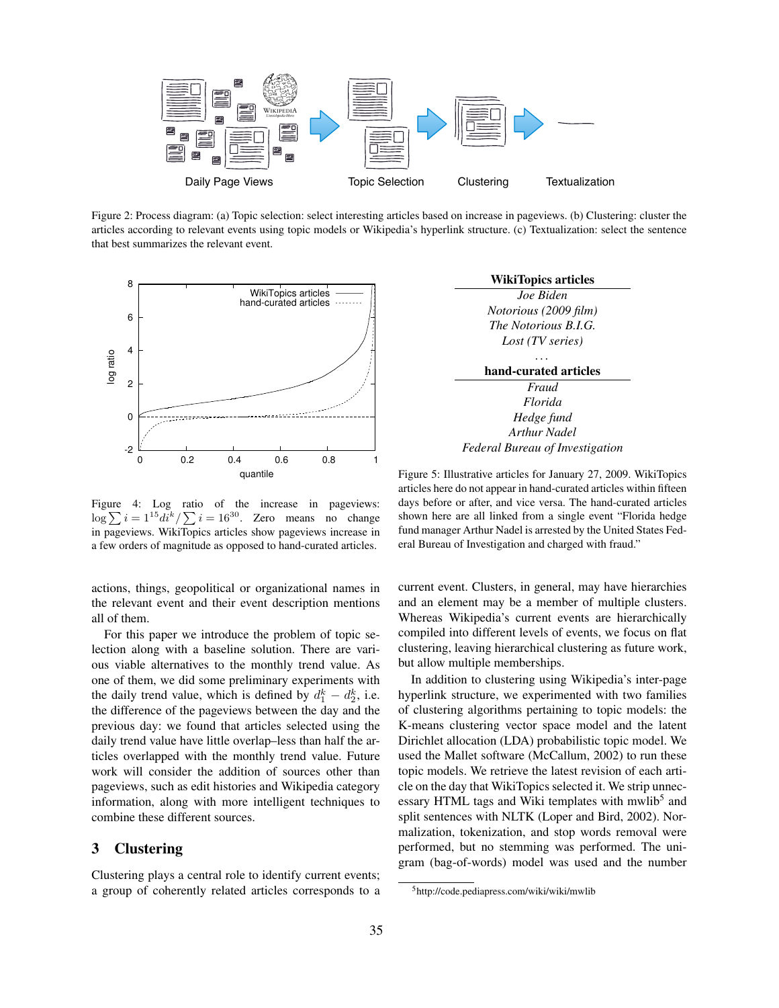

Figure 2: Process diagram: (a) Topic selection: select interesting articles based on increase in pageviews. (b) Clustering: cluster the articles according to relevant events using topic models or Wikipedia's hyperlink structure. (c) Textualization: select the sentence that best summarizes the relevant event.



Figure 4: Log ratio of the increase in pageviews:  $\log \sum_{i=1}^{15} d^{i} / \sum_{i=1}^{50}$ . Zero means no change in pageviews. WikiTopics articles show pageviews increase in a few orders of magnitude as opposed to hand-curated articles.

actions, things, geopolitical or organizational names in the relevant event and their event description mentions all of them.

For this paper we introduce the problem of topic selection along with a baseline solution. There are various viable alternatives to the monthly trend value. As one of them, we did some preliminary experiments with the daily trend value, which is defined by  $d_1^k - d_2^k$ , i.e. the difference of the pageviews between the day and the previous day: we found that articles selected using the daily trend value have little overlap–less than half the articles overlapped with the monthly trend value. Future work will consider the addition of sources other than pageviews, such as edit histories and Wikipedia category information, along with more intelligent techniques to combine these different sources.

### 3 Clustering

Clustering plays a central role to identify current events; a group of coherently related articles corresponds to a



Figure 5: Illustrative articles for January 27, 2009. WikiTopics articles here do not appear in hand-curated articles within fifteen days before or after, and vice versa. The hand-curated articles shown here are all linked from a single event "Florida hedge fund manager Arthur Nadel is arrested by the United States Federal Bureau of Investigation and charged with fraud."

current event. Clusters, in general, may have hierarchies and an element may be a member of multiple clusters. Whereas Wikipedia's current events are hierarchically compiled into different levels of events, we focus on flat clustering, leaving hierarchical clustering as future work, but allow multiple memberships.

In addition to clustering using Wikipedia's inter-page hyperlink structure, we experimented with two families of clustering algorithms pertaining to topic models: the K-means clustering vector space model and the latent Dirichlet allocation (LDA) probabilistic topic model. We used the Mallet software (McCallum, 2002) to run these topic models. We retrieve the latest revision of each article on the day that WikiTopics selected it. We strip unnecessary HTML tags and Wiki templates with mwlib<sup>5</sup> and split sentences with NLTK (Loper and Bird, 2002). Normalization, tokenization, and stop words removal were performed, but no stemming was performed. The unigram (bag-of-words) model was used and the number

<sup>5</sup>http://code.pediapress.com/wiki/wiki/mwlib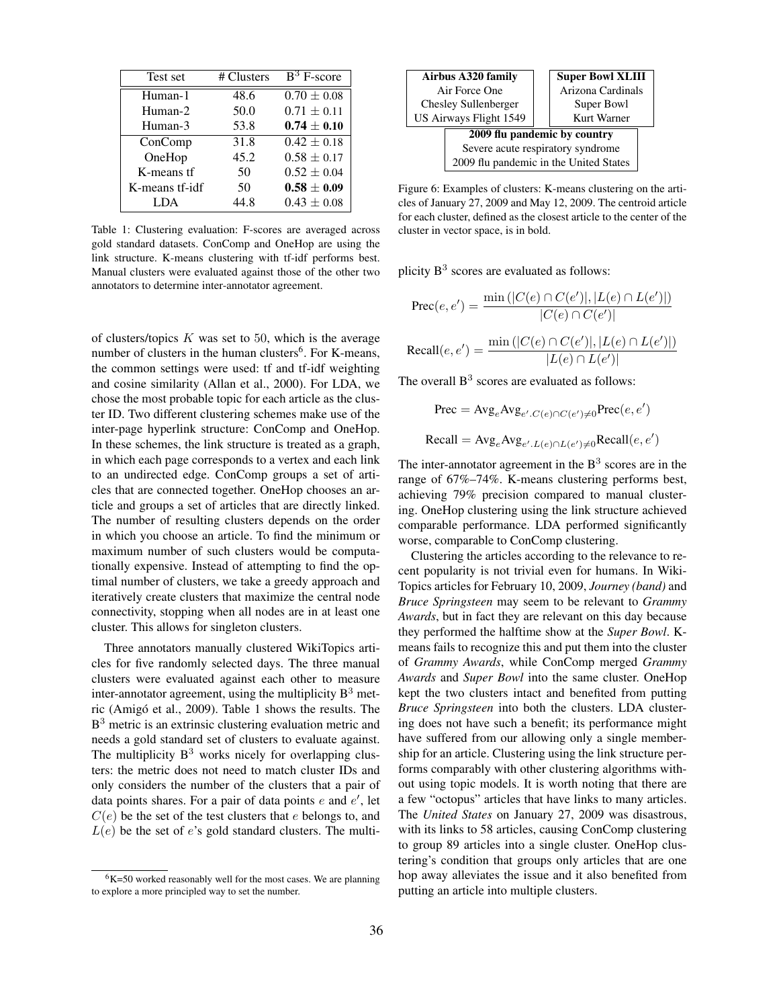| Test set       | # Clusters | $\overline{B}^3$ F-score |
|----------------|------------|--------------------------|
| Human-1        | 48.6       | $0.70 \pm 0.08$          |
| Human-2        | 50.0       | $0.71 \pm 0.11$          |
| Human-3        | 53.8       | $0.74 \pm 0.10$          |
| ConComp        | 31.8       | $0.42 \pm 0.18$          |
| OneHop         | 45.2       | $0.58 \pm 0.17$          |
| K-means tf     | 50         | $0.52 \pm 0.04$          |
| K-means tf-idf | 50         | $0.58 \pm 0.09$          |
| LDA            | 44.8       | $0.43 \pm 0.08$          |

Table 1: Clustering evaluation: F-scores are averaged across gold standard datasets. ConComp and OneHop are using the link structure. K-means clustering with tf-idf performs best. Manual clusters were evaluated against those of the other two annotators to determine inter-annotator agreement.

of clusters/topics  $K$  was set to 50, which is the average number of clusters in the human clusters<sup>6</sup>. For K-means, the common settings were used: tf and tf-idf weighting and cosine similarity (Allan et al., 2000). For LDA, we chose the most probable topic for each article as the cluster ID. Two different clustering schemes make use of the inter-page hyperlink structure: ConComp and OneHop. In these schemes, the link structure is treated as a graph, in which each page corresponds to a vertex and each link to an undirected edge. ConComp groups a set of articles that are connected together. OneHop chooses an article and groups a set of articles that are directly linked. The number of resulting clusters depends on the order in which you choose an article. To find the minimum or maximum number of such clusters would be computationally expensive. Instead of attempting to find the optimal number of clusters, we take a greedy approach and iteratively create clusters that maximize the central node connectivity, stopping when all nodes are in at least one cluster. This allows for singleton clusters.

Three annotators manually clustered WikiTopics articles for five randomly selected days. The three manual clusters were evaluated against each other to measure inter-annotator agreement, using the multiplicity  $B<sup>3</sup>$  metric (Amigó et al., 2009). Table 1 shows the results. The B<sup>3</sup> metric is an extrinsic clustering evaluation metric and needs a gold standard set of clusters to evaluate against. The multiplicity  $B<sup>3</sup>$  works nicely for overlapping clusters: the metric does not need to match cluster IDs and only considers the number of the clusters that a pair of data points shares. For a pair of data points  $e$  and  $e'$ , let  $C(e)$  be the set of the test clusters that e belongs to, and  $L(e)$  be the set of e's gold standard clusters. The multi-



Figure 6: Examples of clusters: K-means clustering on the articles of January 27, 2009 and May 12, 2009. The centroid article for each cluster, defined as the closest article to the center of the cluster in vector space, is in bold.

plicity  $B^3$  scores are evaluated as follows:

$$
Prec(e, e') = \frac{\min(|C(e) \cap C(e')|, |L(e) \cap L(e')|)}{|C(e) \cap C(e')|}
$$
  
Recall(*e, e'*) = 
$$
\frac{\min(|C(e) \cap C(e')|, |L(e) \cap L(e')|)}{|L(e) \cap L(e')|}
$$

 $|L(e) \cap L(e')|$ 

The overall  $B<sup>3</sup>$  scores are evaluated as follows:

$$
\text{Prec} = \text{Avg}_e \text{Avg}_{e'.C(e) \cap C(e') \neq 0} \text{Prec}(e, e')
$$
  
Recall = 
$$
\text{Avg}_e \text{Avg}_{e'.L(e) \cap L(e') \neq 0} \text{Recall}(e, e')
$$

The inter-annotator agreement in the  $B<sup>3</sup>$  scores are in the range of 67%–74%. K-means clustering performs best, achieving 79% precision compared to manual clustering. OneHop clustering using the link structure achieved comparable performance. LDA performed significantly worse, comparable to ConComp clustering.

Clustering the articles according to the relevance to recent popularity is not trivial even for humans. In Wiki-Topics articles for February 10, 2009, *Journey (band)* and *Bruce Springsteen* may seem to be relevant to *Grammy Awards*, but in fact they are relevant on this day because they performed the halftime show at the *Super Bowl*. Kmeans fails to recognize this and put them into the cluster of *Grammy Awards*, while ConComp merged *Grammy Awards* and *Super Bowl* into the same cluster. OneHop kept the two clusters intact and benefited from putting *Bruce Springsteen* into both the clusters. LDA clustering does not have such a benefit; its performance might have suffered from our allowing only a single membership for an article. Clustering using the link structure performs comparably with other clustering algorithms without using topic models. It is worth noting that there are a few "octopus" articles that have links to many articles. The *United States* on January 27, 2009 was disastrous, with its links to 58 articles, causing ConComp clustering to group 89 articles into a single cluster. OneHop clustering's condition that groups only articles that are one hop away alleviates the issue and it also benefited from putting an article into multiple clusters.

 $6K=50$  worked reasonably well for the most cases. We are planning to explore a more principled way to set the number.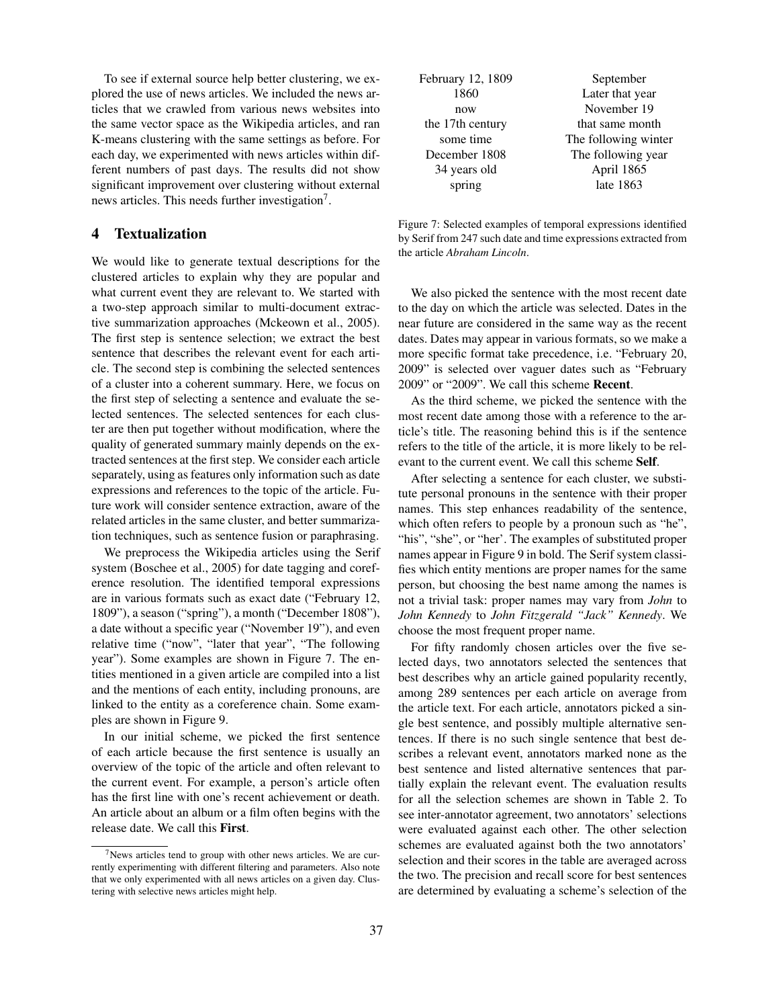To see if external source help better clustering, we explored the use of news articles. We included the news articles that we crawled from various news websites into the same vector space as the Wikipedia articles, and ran K-means clustering with the same settings as before. For each day, we experimented with news articles within different numbers of past days. The results did not show significant improvement over clustering without external news articles. This needs further investigation<sup>7</sup>.

# 4 Textualization

We would like to generate textual descriptions for the clustered articles to explain why they are popular and what current event they are relevant to. We started with a two-step approach similar to multi-document extractive summarization approaches (Mckeown et al., 2005). The first step is sentence selection; we extract the best sentence that describes the relevant event for each article. The second step is combining the selected sentences of a cluster into a coherent summary. Here, we focus on the first step of selecting a sentence and evaluate the selected sentences. The selected sentences for each cluster are then put together without modification, where the quality of generated summary mainly depends on the extracted sentences at the first step. We consider each article separately, using as features only information such as date expressions and references to the topic of the article. Future work will consider sentence extraction, aware of the related articles in the same cluster, and better summarization techniques, such as sentence fusion or paraphrasing.

We preprocess the Wikipedia articles using the Serif system (Boschee et al., 2005) for date tagging and coreference resolution. The identified temporal expressions are in various formats such as exact date ("February 12, 1809"), a season ("spring"), a month ("December 1808"), a date without a specific year ("November 19"), and even relative time ("now", "later that year", "The following year"). Some examples are shown in Figure 7. The entities mentioned in a given article are compiled into a list and the mentions of each entity, including pronouns, are linked to the entity as a coreference chain. Some examples are shown in Figure 9.

In our initial scheme, we picked the first sentence of each article because the first sentence is usually an overview of the topic of the article and often relevant to the current event. For example, a person's article often has the first line with one's recent achievement or death. An article about an album or a film often begins with the release date. We call this First.

| February 12, 1809 | September            |  |  |
|-------------------|----------------------|--|--|
| 1860              | Later that year      |  |  |
| now               | November 19          |  |  |
| the 17th century  | that same month      |  |  |
| some time         | The following winter |  |  |
| December 1808     | The following year   |  |  |
| 34 years old      | April 1865           |  |  |
| spring            | late 1863            |  |  |

Figure 7: Selected examples of temporal expressions identified by Serif from 247 such date and time expressions extracted from the article *Abraham Lincoln*.

We also picked the sentence with the most recent date to the day on which the article was selected. Dates in the near future are considered in the same way as the recent dates. Dates may appear in various formats, so we make a more specific format take precedence, i.e. "February 20, 2009" is selected over vaguer dates such as "February 2009" or "2009". We call this scheme Recent.

As the third scheme, we picked the sentence with the most recent date among those with a reference to the article's title. The reasoning behind this is if the sentence refers to the title of the article, it is more likely to be relevant to the current event. We call this scheme Self.

After selecting a sentence for each cluster, we substitute personal pronouns in the sentence with their proper names. This step enhances readability of the sentence, which often refers to people by a pronoun such as "he", "his", "she", or "her'. The examples of substituted proper names appear in Figure 9 in bold. The Serif system classifies which entity mentions are proper names for the same person, but choosing the best name among the names is not a trivial task: proper names may vary from *John* to *John Kennedy* to *John Fitzgerald "Jack" Kennedy*. We choose the most frequent proper name.

For fifty randomly chosen articles over the five selected days, two annotators selected the sentences that best describes why an article gained popularity recently, among 289 sentences per each article on average from the article text. For each article, annotators picked a single best sentence, and possibly multiple alternative sentences. If there is no such single sentence that best describes a relevant event, annotators marked none as the best sentence and listed alternative sentences that partially explain the relevant event. The evaluation results for all the selection schemes are shown in Table 2. To see inter-annotator agreement, two annotators' selections were evaluated against each other. The other selection schemes are evaluated against both the two annotators' selection and their scores in the table are averaged across the two. The precision and recall score for best sentences are determined by evaluating a scheme's selection of the

 $7$ News articles tend to group with other news articles. We are currently experimenting with different filtering and parameters. Also note that we only experimented with all news articles on a given day. Clustering with selective news articles might help.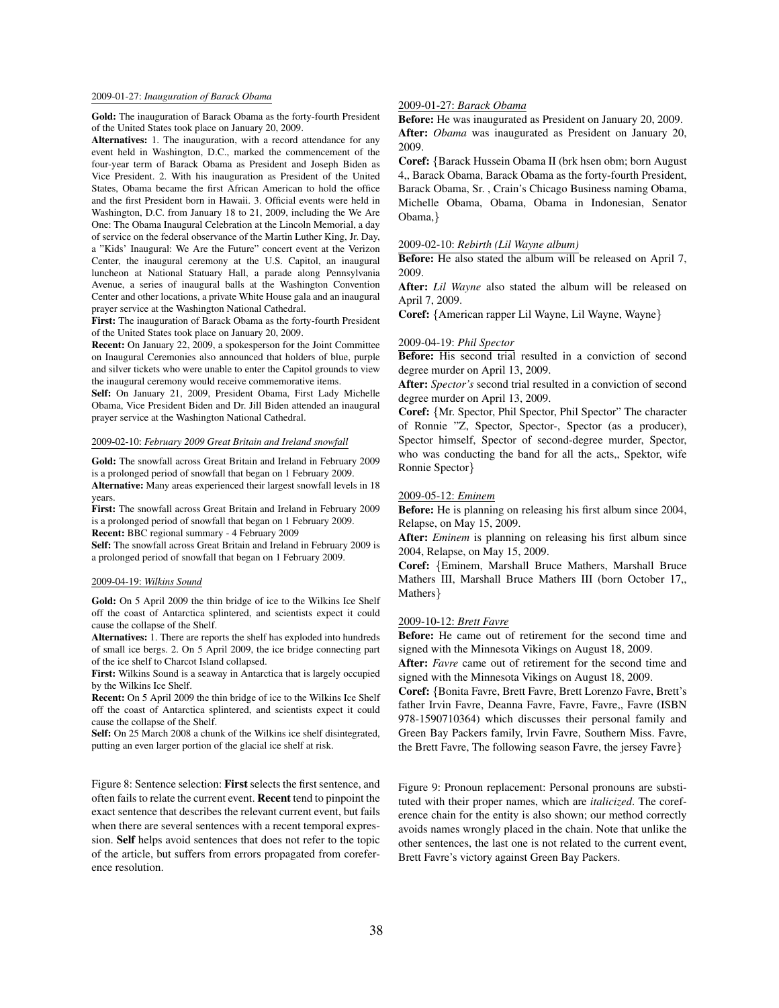### 2009-01-27: *Inauguration of Barack Obama*

Gold: The inauguration of Barack Obama as the forty-fourth President of the United States took place on January 20, 2009.

Alternatives: 1. The inauguration, with a record attendance for any event held in Washington, D.C., marked the commencement of the four-year term of Barack Obama as President and Joseph Biden as Vice President. 2. With his inauguration as President of the United States, Obama became the first African American to hold the office and the first President born in Hawaii. 3. Official events were held in Washington, D.C. from January 18 to 21, 2009, including the We Are One: The Obama Inaugural Celebration at the Lincoln Memorial, a day of service on the federal observance of the Martin Luther King, Jr. Day, a "Kids' Inaugural: We Are the Future" concert event at the Verizon Center, the inaugural ceremony at the U.S. Capitol, an inaugural luncheon at National Statuary Hall, a parade along Pennsylvania Avenue, a series of inaugural balls at the Washington Convention Center and other locations, a private White House gala and an inaugural prayer service at the Washington National Cathedral.

First: The inauguration of Barack Obama as the forty-fourth President of the United States took place on January 20, 2009.

Recent: On January 22, 2009, a spokesperson for the Joint Committee on Inaugural Ceremonies also announced that holders of blue, purple and silver tickets who were unable to enter the Capitol grounds to view the inaugural ceremony would receive commemorative items.

Self: On January 21, 2009, President Obama, First Lady Michelle Obama, Vice President Biden and Dr. Jill Biden attended an inaugural prayer service at the Washington National Cathedral.

#### 2009-02-10: *February 2009 Great Britain and Ireland snowfall*

Gold: The snowfall across Great Britain and Ireland in February 2009 is a prolonged period of snowfall that began on 1 February 2009.

Alternative: Many areas experienced their largest snowfall levels in 18 years.

First: The snowfall across Great Britain and Ireland in February 2009 is a prolonged period of snowfall that began on 1 February 2009. Recent: BBC regional summary - 4 February 2009

Self: The snowfall across Great Britain and Ireland in February 2009 is a prolonged period of snowfall that began on 1 February 2009.

#### 2009-04-19: *Wilkins Sound*

Gold: On 5 April 2009 the thin bridge of ice to the Wilkins Ice Shelf off the coast of Antarctica splintered, and scientists expect it could cause the collapse of the Shelf.

Alternatives: 1. There are reports the shelf has exploded into hundreds of small ice bergs. 2. On 5 April 2009, the ice bridge connecting part of the ice shelf to Charcot Island collapsed.

First: Wilkins Sound is a seaway in Antarctica that is largely occupied by the Wilkins Ice Shelf.

Recent: On 5 April 2009 the thin bridge of ice to the Wilkins Ice Shelf off the coast of Antarctica splintered, and scientists expect it could cause the collapse of the Shelf.

Self: On 25 March 2008 a chunk of the Wilkins ice shelf disintegrated, putting an even larger portion of the glacial ice shelf at risk.

Figure 8: Sentence selection: First selects the first sentence, and often fails to relate the current event. Recent tend to pinpoint the exact sentence that describes the relevant current event, but fails when there are several sentences with a recent temporal expression. Self helps avoid sentences that does not refer to the topic of the article, but suffers from errors propagated from coreference resolution.

### 2009-01-27: *Barack Obama*

Before: He was inaugurated as President on January 20, 2009. After: *Obama* was inaugurated as President on January 20, 2009.

Coref: {Barack Hussein Obama II (brk hsen obm; born August 4,, Barack Obama, Barack Obama as the forty-fourth President, Barack Obama, Sr. , Crain's Chicago Business naming Obama, Michelle Obama, Obama, Obama in Indonesian, Senator Obama,}

#### 2009-02-10: *Rebirth (Lil Wayne album)*

Before: He also stated the album will be released on April 7, 2009.

After: Lil Wayne also stated the album will be released on April 7, 2009.

Coref: {American rapper Lil Wayne, Lil Wayne, Wayne}

### 2009-04-19: *Phil Spector*

Before: His second trial resulted in a conviction of second degree murder on April 13, 2009.

After: *Spector's* second trial resulted in a conviction of second degree murder on April 13, 2009.

Coref: {Mr. Spector, Phil Spector, Phil Spector" The character of Ronnie "Z, Spector, Spector-, Spector (as a producer), Spector himself, Spector of second-degree murder, Spector, who was conducting the band for all the acts,, Spektor, wife Ronnie Spector}

### 2009-05-12: *Eminem*

Before: He is planning on releasing his first album since 2004, Relapse, on May 15, 2009.

After: *Eminem* is planning on releasing his first album since 2004, Relapse, on May 15, 2009.

Coref: {Eminem, Marshall Bruce Mathers, Marshall Bruce Mathers III, Marshall Bruce Mathers III (born October 17,, Mathers}

#### 2009-10-12: *Brett Favre*

Before: He came out of retirement for the second time and signed with the Minnesota Vikings on August 18, 2009.

After: *Favre* came out of retirement for the second time and signed with the Minnesota Vikings on August 18, 2009.

Coref: {Bonita Favre, Brett Favre, Brett Lorenzo Favre, Brett's father Irvin Favre, Deanna Favre, Favre, Favre,, Favre (ISBN 978-1590710364) which discusses their personal family and Green Bay Packers family, Irvin Favre, Southern Miss. Favre, the Brett Favre, The following season Favre, the jersey Favre}

Figure 9: Pronoun replacement: Personal pronouns are substituted with their proper names, which are *italicized*. The coreference chain for the entity is also shown; our method correctly avoids names wrongly placed in the chain. Note that unlike the other sentences, the last one is not related to the current event, Brett Favre's victory against Green Bay Packers.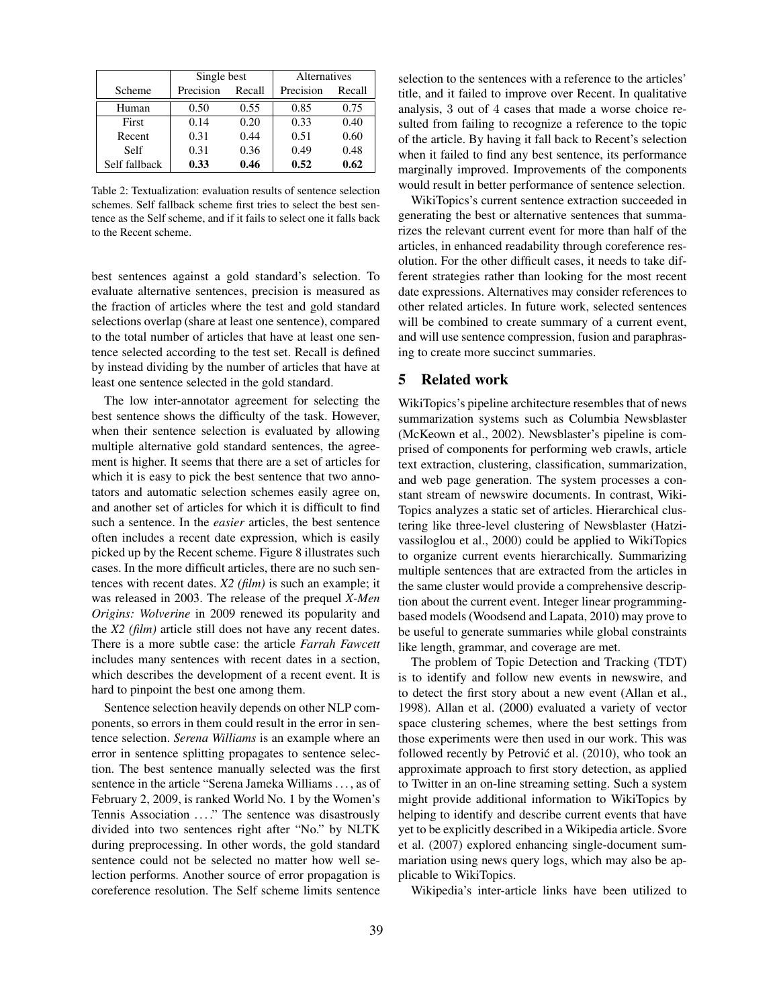|               | Single best |        | <b>Alternatives</b> |        |
|---------------|-------------|--------|---------------------|--------|
| Scheme        | Precision   | Recall | Precision           | Recall |
| Human         | 0.50        | 0.55   | 0.85                | 0.75   |
| First         | 0.14        | 0.20   | 0.33                | 0.40   |
| Recent        | 0.31        | 0.44   | 0.51                | 0.60   |
| Self          | 0.31        | 0.36   | 0.49                | 0.48   |
| Self fallback | 0.33        | 0.46   | 0.52                | 0.62   |

Table 2: Textualization: evaluation results of sentence selection schemes. Self fallback scheme first tries to select the best sentence as the Self scheme, and if it fails to select one it falls back to the Recent scheme.

best sentences against a gold standard's selection. To evaluate alternative sentences, precision is measured as the fraction of articles where the test and gold standard selections overlap (share at least one sentence), compared to the total number of articles that have at least one sentence selected according to the test set. Recall is defined by instead dividing by the number of articles that have at least one sentence selected in the gold standard.

The low inter-annotator agreement for selecting the best sentence shows the difficulty of the task. However, when their sentence selection is evaluated by allowing multiple alternative gold standard sentences, the agreement is higher. It seems that there are a set of articles for which it is easy to pick the best sentence that two annotators and automatic selection schemes easily agree on, and another set of articles for which it is difficult to find such a sentence. In the *easier* articles, the best sentence often includes a recent date expression, which is easily picked up by the Recent scheme. Figure 8 illustrates such cases. In the more difficult articles, there are no such sentences with recent dates. *X2 (film)* is such an example; it was released in 2003. The release of the prequel *X-Men Origins: Wolverine* in 2009 renewed its popularity and the *X2 (film)* article still does not have any recent dates. There is a more subtle case: the article *Farrah Fawcett* includes many sentences with recent dates in a section, which describes the development of a recent event. It is hard to pinpoint the best one among them.

Sentence selection heavily depends on other NLP components, so errors in them could result in the error in sentence selection. *Serena Williams* is an example where an error in sentence splitting propagates to sentence selection. The best sentence manually selected was the first sentence in the article "Serena Jameka Williams . . . , as of February 2, 2009, is ranked World No. 1 by the Women's Tennis Association ...." The sentence was disastrously divided into two sentences right after "No." by NLTK during preprocessing. In other words, the gold standard sentence could not be selected no matter how well selection performs. Another source of error propagation is coreference resolution. The Self scheme limits sentence selection to the sentences with a reference to the articles' title, and it failed to improve over Recent. In qualitative analysis, 3 out of 4 cases that made a worse choice resulted from failing to recognize a reference to the topic of the article. By having it fall back to Recent's selection when it failed to find any best sentence, its performance marginally improved. Improvements of the components would result in better performance of sentence selection.

WikiTopics's current sentence extraction succeeded in generating the best or alternative sentences that summarizes the relevant current event for more than half of the articles, in enhanced readability through coreference resolution. For the other difficult cases, it needs to take different strategies rather than looking for the most recent date expressions. Alternatives may consider references to other related articles. In future work, selected sentences will be combined to create summary of a current event, and will use sentence compression, fusion and paraphrasing to create more succinct summaries.

### 5 Related work

WikiTopics's pipeline architecture resembles that of news summarization systems such as Columbia Newsblaster (McKeown et al., 2002). Newsblaster's pipeline is comprised of components for performing web crawls, article text extraction, clustering, classification, summarization, and web page generation. The system processes a constant stream of newswire documents. In contrast, Wiki-Topics analyzes a static set of articles. Hierarchical clustering like three-level clustering of Newsblaster (Hatzivassiloglou et al., 2000) could be applied to WikiTopics to organize current events hierarchically. Summarizing multiple sentences that are extracted from the articles in the same cluster would provide a comprehensive description about the current event. Integer linear programmingbased models (Woodsend and Lapata, 2010) may prove to be useful to generate summaries while global constraints like length, grammar, and coverage are met.

The problem of Topic Detection and Tracking (TDT) is to identify and follow new events in newswire, and to detect the first story about a new event (Allan et al., 1998). Allan et al. (2000) evaluated a variety of vector space clustering schemes, where the best settings from those experiments were then used in our work. This was followed recently by Petrović et al. (2010), who took an approximate approach to first story detection, as applied to Twitter in an on-line streaming setting. Such a system might provide additional information to WikiTopics by helping to identify and describe current events that have yet to be explicitly described in a Wikipedia article. Svore et al. (2007) explored enhancing single-document summariation using news query logs, which may also be applicable to WikiTopics.

Wikipedia's inter-article links have been utilized to